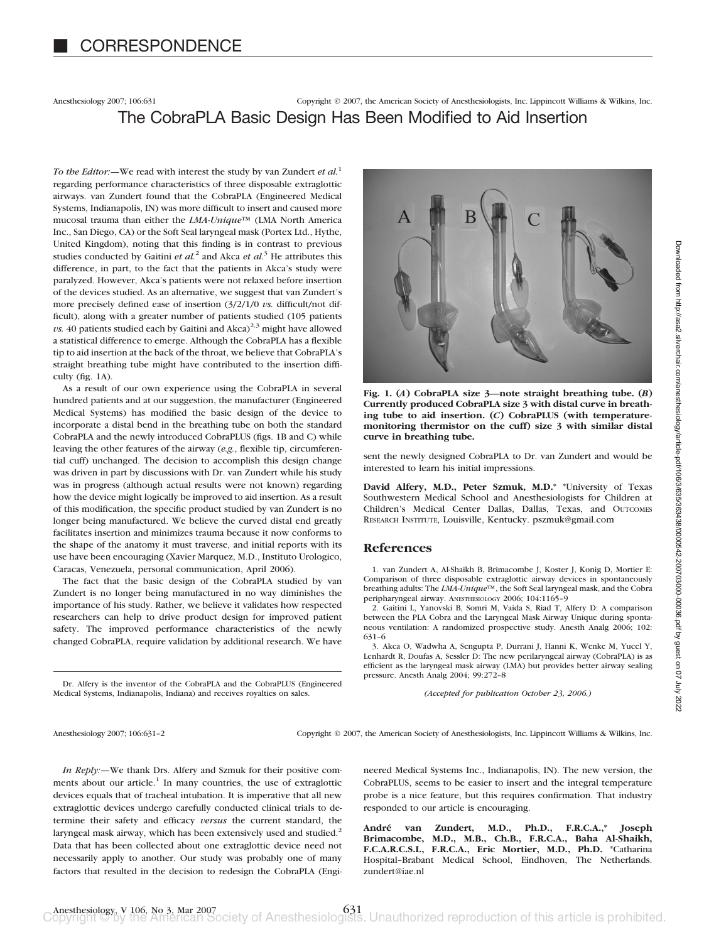Anesthesiology 2007; 106:631 Copyright © 2007, the American Society of Anesthesiologists, Inc. Lippincott Williams & Wilkins, Inc. The CobraPLA Basic Design Has Been Modified to Aid Insertion

*To the Editor:—*We read with interest the study by van Zundert *et al.*<sup>1</sup> regarding performance characteristics of three disposable extraglottic airways. van Zundert found that the CobraPLA (Engineered Medical Systems, Indianapolis, IN) was more difficult to insert and caused more mucosal trauma than either the *LMA-Unique*™ (LMA North America Inc., San Diego, CA) or the Soft Seal laryngeal mask (Portex Ltd., Hythe, United Kingdom), noting that this finding is in contrast to previous studies conducted by Gaitini *et al.*<sup>2</sup> and Akca *et al.*<sup>3</sup> He attributes this difference, in part, to the fact that the patients in Akca's study were paralyzed. However, Akca's patients were not relaxed before insertion of the devices studied. As an alternative, we suggest that van Zundert's more precisely defined ease of insertion (3/2/1/0 *vs.* difficult/not difficult), along with a greater number of patients studied (105 patients  $\nu$ s. 40 patients studied each by Gaitini and Akca)<sup>2,3</sup> might have allowed a statistical difference to emerge. Although the CobraPLA has a flexible tip to aid insertion at the back of the throat, we believe that CobraPLA's straight breathing tube might have contributed to the insertion difficulty (fig. 1A).

As a result of our own experience using the CobraPLA in several hundred patients and at our suggestion, the manufacturer (Engineered Medical Systems) has modified the basic design of the device to incorporate a distal bend in the breathing tube on both the standard CobraPLA and the newly introduced CobraPLUS (figs. 1B and C) while leaving the other features of the airway (*e.g.*, flexible tip, circumferential cuff) unchanged. The decision to accomplish this design change was driven in part by discussions with Dr. van Zundert while his study was in progress (although actual results were not known) regarding how the device might logically be improved to aid insertion. As a result of this modification, the specific product studied by van Zundert is no longer being manufactured. We believe the curved distal end greatly facilitates insertion and minimizes trauma because it now conforms to the shape of the anatomy it must traverse, and initial reports with its use have been encouraging (Xavier Marquez, M.D., Instituto Urologico, Caracas, Venezuela, personal communication, April 2006).

The fact that the basic design of the CobraPLA studied by van Zundert is no longer being manufactured in no way diminishes the importance of his study. Rather, we believe it validates how respected researchers can help to drive product design for improved patient safety. The improved performance characteristics of the newly changed CobraPLA, require validation by additional research. We have

Dr. Alfery is the inventor of the CobraPLA and the CobraPLUS (Engineered Medical Systems, Indianapolis, Indiana) and receives royalties on sales.



**Fig. 1. (***A***) CobraPLA size 3—note straight breathing tube. (***B***) Currently produced CobraPLA size 3 with distal curve in breathing tube to aid insertion. (***C***) CobraPLUS (with temperaturemonitoring thermistor on the cuff) size 3 with similar distal curve in breathing tube.**

sent the newly designed CobraPLA to Dr. van Zundert and would be interested to learn his initial impressions.

**David Alfery, M.D., Peter Szmuk, M.D.\*** \*University of Texas Southwestern Medical School and Anesthesiologists for Children at Children's Medical Center Dallas, Dallas, Texas, and OUTCOMES RESEARCH INSTITUTE, Louisville, Kentucky. pszmuk@gmail.com

# **References**

1. van Zundert A, Al-Shaikh B, Brimacombe J, Koster J, Konig D, Mortier E: Comparison of three disposable extraglottic airway devices in spontaneously breathing adults: The *LMA-Unique*™, the Soft Seal laryngeal mask, and the Cobra peripharyngeal airway. ANESTHESIOLOGY 2006; 104:1165–9

2. Gaitini L, Yanovski B, Somri M, Vaida S, Riad T, Alfery D: A comparison between the PLA Cobra and the Laryngeal Mask Airway Unique during spontaneous ventilation: A randomized prospective study. Anesth Analg 2006; 102: 631–6

3. Akca O, Wadwha A, Sengupta P, Durrani J, Hanni K, Wenke M, Yucel Y, Lenhardt R, Doufas A, Sessler D: The new perilaryngeal airway (CobraPLA) is as efficient as the laryngeal mask airway (LMA) but provides better airway sealing pressure. Anesth Analg 2004; 99:272–8

*(Accepted for publication October 23, 2006.)*

Anesthesiology 2007; 106:631-2 Copyright © 2007, the American Society of Anesthesiologists, Inc. Lippincott Williams & Wilkins, Inc.

*In Reply:—*We thank Drs. Alfery and Szmuk for their positive comments about our article.<sup>1</sup> In many countries, the use of extraglottic devices equals that of tracheal intubation. It is imperative that all new extraglottic devices undergo carefully conducted clinical trials to determine their safety and efficacy *versus* the current standard, the laryngeal mask airway, which has been extensively used and studied.<sup>2</sup> Data that has been collected about one extraglottic device need not necessarily apply to another. Our study was probably one of many factors that resulted in the decision to redesign the CobraPLA (Engineered Medical Systems Inc., Indianapolis, IN). The new version, the CobraPLUS, seems to be easier to insert and the integral temperature probe is a nice feature, but this requires confirmation. That industry responded to our article is encouraging.

**Andre´ van Zundert, M.D., Ph.D., F.R.C.A.,\* Joseph Brimacombe, M.D., M.B., Ch.B., F.R.C.A., Baha Al-Shaikh, F.C.A.R.C.S.I., F.R.C.A., Eric Mortier, M.D., Ph.D.** \*Catharina Hospital–Brabant Medical School, Eindhoven, The Netherlands. zundert@iae.nl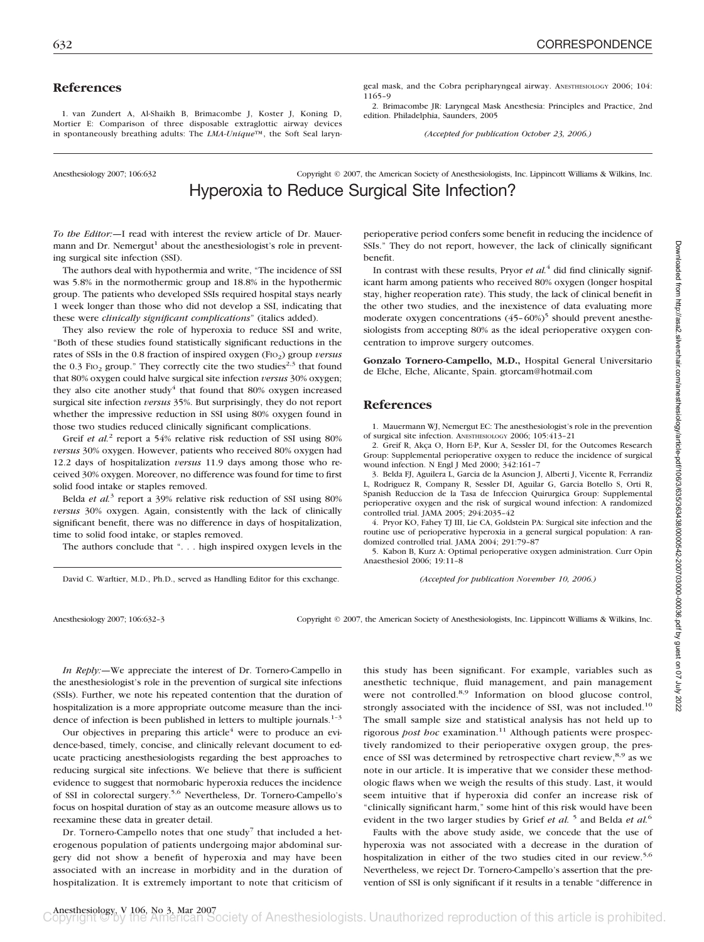# **References**

1. van Zundert A, Al-Shaikh B, Brimacombe J, Koster J, Koning D, Mortier E: Comparison of three disposable extraglottic airway devices in spontaneously breathing adults: The *LMA-Unique*™, the Soft Seal laryn-

geal mask, and the Cobra peripharyngeal airway. ANESTHESIOLOGY 2006; 104: 1165–9

2. Brimacombe JR: Laryngeal Mask Anesthesia: Principles and Practice, 2nd edition. Philadelphia, Saunders, 2005

*(Accepted for publication October 23, 2006.)*

Anesthesiology 2007; 106:632 Copyright © 2007, the American Society of Anesthesiologists, Inc. Lippincott Williams & Wilkins, Inc. Hyperoxia to Reduce Surgical Site Infection?

*To the Editor:—*I read with interest the review article of Dr. Mauermann and Dr. Nemergut<sup>1</sup> about the anesthesiologist's role in preventing surgical site infection (SSI).

The authors deal with hypothermia and write, "The incidence of SSI was 5.8% in the normothermic group and 18.8% in the hypothermic group. The patients who developed SSIs required hospital stays nearly 1 week longer than those who did not develop a SSI, indicating that these were *clinically significant complications*" (italics added).

They also review the role of hyperoxia to reduce SSI and write, "Both of these studies found statistically significant reductions in the rates of SSIs in the 0.8 fraction of inspired oxygen (FIO<sub>2</sub>) group *versus* the 0.3 Fio<sub>2</sub> group." They correctly cite the two studies<sup>2,3</sup> that found that 80% oxygen could halve surgical site infection *versus* 30% oxygen; they also cite another study<sup>4</sup> that found that 80% oxygen increased surgical site infection *versus* 35%. But surprisingly, they do not report whether the impressive reduction in SSI using 80% oxygen found in those two studies reduced clinically significant complications.

Greif *et al.*<sup>2</sup> report a 54% relative risk reduction of SSI using 80% *versus* 30% oxygen. However, patients who received 80% oxygen had 12.2 days of hospitalization *versus* 11.9 days among those who received 30% oxygen. Moreover, no difference was found for time to first solid food intake or staples removed.

Belda *et al.*<sup>3</sup> report a 39% relative risk reduction of SSI using 80% *versus* 30% oxygen. Again, consistently with the lack of clinically significant benefit, there was no difference in days of hospitalization, time to solid food intake, or staples removed.

The authors conclude that ". . . high inspired oxygen levels in the

David C. Warltier, M.D., Ph.D., served as Handling Editor for this exchange.

perioperative period confers some benefit in reducing the incidence of SSIs." They do not report, however, the lack of clinically significant benefit.

In contrast with these results, Pryor  $et$   $al<sup>4</sup>$  did find clinically significant harm among patients who received 80% oxygen (longer hospital stay, higher reoperation rate). This study, the lack of clinical benefit in the other two studies, and the inexistence of data evaluating more moderate oxygen concentrations  $(45-60%)^5$  should prevent anesthesiologists from accepting 80% as the ideal perioperative oxygen concentration to improve surgery outcomes.

**Gonzalo Tornero-Campello, M.D.,** Hospital General Universitario de Elche, Elche, Alicante, Spain. gtorcam@hotmail.com

#### **References**

1. Mauermann WJ, Nemergut EC: The anesthesiologist's role in the prevention of surgical site infection. ANESTHESIOLOGY 2006; 105:413–21

2. Greif R, Akça O, Horn E-P, Kur A, Sessler DI, for the Outcomes Research Group: Supplemental perioperative oxygen to reduce the incidence of surgical wound infection. N Engl J Med 2000; 342:161–7

3. Belda FJ, Aguilera L, Garcia de la Asuncion J, Alberti J, Vicente R, Ferrandiz L, Rodriguez R, Company R, Sessler DI, Aguilar G, Garcia Botello S, Orti R, Spanish Reduccion de la Tasa de Infeccion Quirurgica Group: Supplemental perioperative oxygen and the risk of surgical wound infection: A randomized controlled trial. JAMA 2005; 294:2035–42

4. Pryor KO, Fahey TJ III, Lie CA, Goldstein PA: Surgical site infection and the routine use of perioperative hyperoxia in a general surgical population: A randomized controlled trial. JAMA 2004; 291:79–87

5. Kabon B, Kurz A: Optimal perioperative oxygen administration. Curr Opin Anaesthesiol 2006; 19:11–8

*(Accepted for publication November 10, 2006.)*

Anesthesiology 2007; 106:632-3 Copyright © 2007, the American Society of Anesthesiologists, Inc. Lippincott Williams & Wilkins, Inc.

*In Reply:—*We appreciate the interest of Dr. Tornero-Campello in the anesthesiologist's role in the prevention of surgical site infections (SSIs). Further, we note his repeated contention that the duration of hospitalization is a more appropriate outcome measure than the incidence of infection is been published in letters to multiple journals.<sup>1-3</sup>

Our objectives in preparing this article<sup>4</sup> were to produce an evidence-based, timely, concise, and clinically relevant document to educate practicing anesthesiologists regarding the best approaches to reducing surgical site infections. We believe that there is sufficient evidence to suggest that normobaric hyperoxia reduces the incidence of SSI in colorectal surgery.5,6 Nevertheless, Dr. Tornero-Campello's focus on hospital duration of stay as an outcome measure allows us to reexamine these data in greater detail.

Dr. Tornero-Campello notes that one study<sup>7</sup> that included a heterogenous population of patients undergoing major abdominal surgery did not show a benefit of hyperoxia and may have been associated with an increase in morbidity and in the duration of hospitalization. It is extremely important to note that criticism of

this study has been significant. For example, variables such as anesthetic technique, fluid management, and pain management were not controlled.<sup>8,9</sup> Information on blood glucose control, strongly associated with the incidence of SSI, was not included.<sup>10</sup> The small sample size and statistical analysis has not held up to rigorous *post hoc* examination.<sup>11</sup> Although patients were prospectively randomized to their perioperative oxygen group, the presence of SSI was determined by retrospective chart review,<sup>8,9</sup> as we note in our article. It is imperative that we consider these methodologic flaws when we weigh the results of this study. Last, it would seem intuitive that if hyperoxia did confer an increase risk of "clinically significant harm," some hint of this risk would have been evident in the two larger studies by Grief *et al.*<sup>5</sup> and Belda *et al.*<sup>6</sup>

Faults with the above study aside, we concede that the use of hyperoxia was not associated with a decrease in the duration of hospitalization in either of the two studies cited in our review.<sup>5,6</sup> Nevertheless, we reject Dr. Tornero-Campello's assertion that the prevention of SSI is only significant if it results in a tenable "difference in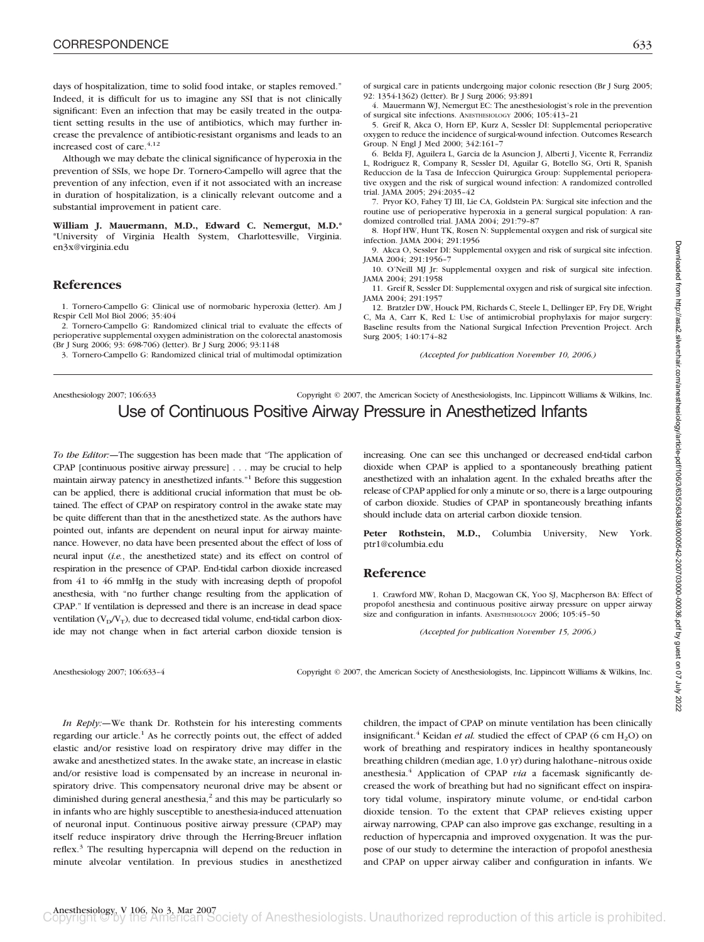days of hospitalization, time to solid food intake, or staples removed." Indeed, it is difficult for us to imagine any SSI that is not clinically significant: Even an infection that may be easily treated in the outpatient setting results in the use of antibiotics, which may further increase the prevalence of antibiotic-resistant organisms and leads to an increased cost of care. $4,12$ 

Although we may debate the clinical significance of hyperoxia in the prevention of SSIs, we hope Dr. Tornero-Campello will agree that the prevention of any infection, even if it not associated with an increase in duration of hospitalization, is a clinically relevant outcome and a substantial improvement in patient care.

**William J. Mauermann, M.D., Edward C. Nemergut, M.D.\*** \*University of Virginia Health System, Charlottesville, Virginia. en3x@virginia.edu

## **References**

1. Tornero-Campello G: Clinical use of normobaric hyperoxia (letter). Am J Respir Cell Mol Biol 2006; 35:404

2. Tornero-Campello G: Randomized clinical trial to evaluate the effects of perioperative supplemental oxygen administration on the colorectal anastomosis (Br J Surg 2006; 93: 698-706) (letter). Br J Surg 2006; 93:1148

3. Tornero-Campello G: Randomized clinical trial of multimodal optimization

4. Mauermann WJ, Nemergut EC: The anesthesiologist's role in the prevention of surgical site infections. ANESTHESIOLOGY 2006; 105:413–21

5. Greif R, Akca O, Horn EP, Kurz A, Sessler DI: Supplemental perioperative oxygen to reduce the incidence of surgical-wound infection. Outcomes Research Group. N Engl J Med 2000; 342:161–7

6. Belda FJ, Aguilera L, Garcia de la Asuncion J, Alberti J, Vicente R, Ferrandiz L, Rodriguez R, Company R, Sessler DI, Aguilar G, Botello SG, Orti R, Spanish Reduccion de la Tasa de Infeccion Quirurgica Group: Supplemental perioperative oxygen and the risk of surgical wound infection: A randomized controlled trial. JAMA 2005; 294:2035–42

7. Pryor KO, Fahey TJ III, Lie CA, Goldstein PA: Surgical site infection and the routine use of perioperative hyperoxia in a general surgical population: A randomized controlled trial. JAMA 2004; 291:79–87

8. Hopf HW, Hunt TK, Rosen N: Supplemental oxygen and risk of surgical site infection. JAMA 2004; 291:1956

9. Akca O, Sessler DI: Supplemental oxygen and risk of surgical site infection. JAMA 2004; 291:1956–7

10. O'Neill MJ Jr: Supplemental oxygen and risk of surgical site infection. JAMA 2004; 291:1958

11. Greif R, Sessler DI: Supplemental oxygen and risk of surgical site infection. JAMA 2004; 291:1957

12. Bratzler DW, Houck PM, Richards C, Steele L, Dellinger EP, Fry DE, Wright C, Ma A, Carr K, Red L: Use of antimicrobial prophylaxis for major surgery: Baseline results from the National Surgical Infection Prevention Project. Arch Surg 2005; 140:174–82

*(Accepted for publication November 10, 2006.)*

# Anesthesiology 2007; 106:633 Copyright © 2007, the American Society of Anesthesiologists, Inc. Lippincott Williams & Wilkins, Inc. Use of Continuous Positive Airway Pressure in Anesthetized Infants

*To the Editor:—*The suggestion has been made that "The application of CPAP [continuous positive airway pressure] . . . may be crucial to help maintain airway patency in anesthetized infants."1 Before this suggestion can be applied, there is additional crucial information that must be obtained. The effect of CPAP on respiratory control in the awake state may be quite different than that in the anesthetized state. As the authors have pointed out, infants are dependent on neural input for airway maintenance. However, no data have been presented about the effect of loss of neural input (*i.e.*, the anesthetized state) and its effect on control of respiration in the presence of CPAP. End-tidal carbon dioxide increased from 41 to 46 mmHg in the study with increasing depth of propofol anesthesia, with "no further change resulting from the application of CPAP." If ventilation is depressed and there is an increase in dead space ventilation  $(V_D/V_T)$ , due to decreased tidal volume, end-tidal carbon dioxide may not change when in fact arterial carbon dioxide tension is

increasing. One can see this unchanged or decreased end-tidal carbon dioxide when CPAP is applied to a spontaneously breathing patient anesthetized with an inhalation agent. In the exhaled breaths after the release of CPAP applied for only a minute or so, there is a large outpouring of carbon dioxide. Studies of CPAP in spontaneously breathing infants should include data on arterial carbon dioxide tension.

**Peter Rothstein, M.D.,** Columbia University, New York. ptr1@columbia.edu

## **Reference**

1. Crawford MW, Rohan D, Macgowan CK, Yoo SJ, Macpherson BA: Effect of propofol anesthesia and continuous positive airway pressure on upper airway size and configuration in infants. ANESTHESIOLOGY 2006; 105:45-50

*(Accepted for publication November 15, 2006.)*

Anesthesiology 2007; 106:633-4 Copyright © 2007, the American Society of Anesthesiologists, Inc. Lippincott Williams & Wilkins, Inc.

*In Reply:—*We thank Dr. Rothstein for his interesting comments regarding our article.<sup>1</sup> As he correctly points out, the effect of added elastic and/or resistive load on respiratory drive may differ in the awake and anesthetized states. In the awake state, an increase in elastic and/or resistive load is compensated by an increase in neuronal inspiratory drive. This compensatory neuronal drive may be absent or diminished during general anesthesia, $<sup>2</sup>$  and this may be particularly so</sup> in infants who are highly susceptible to anesthesia-induced attenuation of neuronal input. Continuous positive airway pressure (CPAP) may itself reduce inspiratory drive through the Herring-Breuer inflation reflex.<sup>3</sup> The resulting hypercapnia will depend on the reduction in minute alveolar ventilation. In previous studies in anesthetized children, the impact of CPAP on minute ventilation has been clinically insignificant.<sup>4</sup> Keidan *et al.* studied the effect of CPAP (6 cm  $H_2O$ ) on work of breathing and respiratory indices in healthy spontaneously breathing children (median age, 1.0 yr) during halothane–nitrous oxide anesthesia.<sup>4</sup> Application of CPAP *via* a facemask significantly decreased the work of breathing but had no significant effect on inspiratory tidal volume, inspiratory minute volume, or end-tidal carbon dioxide tension. To the extent that CPAP relieves existing upper airway narrowing, CPAP can also improve gas exchange, resulting in a reduction of hypercapnia and improved oxygenation. It was the purpose of our study to determine the interaction of propofol anesthesia and CPAP on upper airway caliber and configuration in infants. We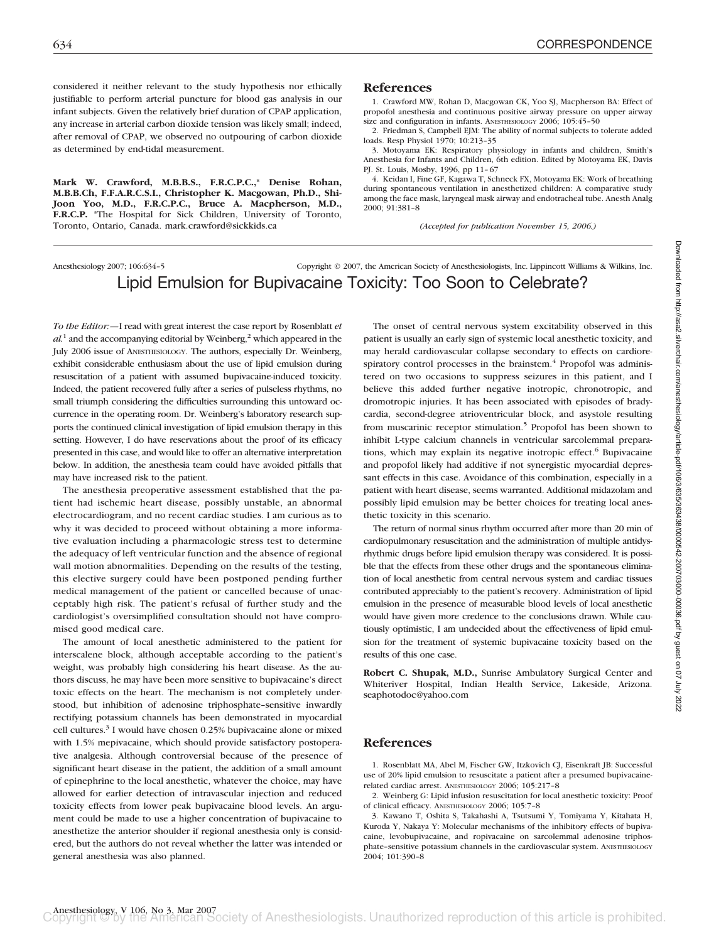considered it neither relevant to the study hypothesis nor ethically justifiable to perform arterial puncture for blood gas analysis in our infant subjects. Given the relatively brief duration of CPAP application, any increase in arterial carbon dioxide tension was likely small; indeed, after removal of CPAP, we observed no outpouring of carbon dioxide as determined by end-tidal measurement.

**Mark W. Crawford, M.B.B.S., F.R.C.P.C.,\* Denise Rohan, M.B.B.Ch, F.F.A.R.C.S.I., Christopher K. Macgowan, Ph.D., Shi-Joon Yoo, M.D., F.R.C.P.C., Bruce A. Macpherson, M.D., F.R.C.P.** \*The Hospital for Sick Children, University of Toronto, Toronto, Ontario, Canada. mark.crawford@sickkids.ca

## **References**

1. Crawford MW, Rohan D, Macgowan CK, Yoo SJ, Macpherson BA: Effect of propofol anesthesia and continuous positive airway pressure on upper airway size and configuration in infants. ANESTHESIOLOGY 2006; 105:45–50

2. Friedman S, Campbell EJM: The ability of normal subjects to tolerate added loads. Resp Physiol 1970; 10:213–35

3. Motoyama EK: Respiratory physiology in infants and children, Smith's Anesthesia for Infants and Children, 6th edition. Edited by Motoyama EK, Davis PJ. St. Louis, Mosby, 1996, pp 11– 67

4. Keidan I, Fine GF, Kagawa T, Schneck FX, Motoyama EK: Work of breathing during spontaneous ventilation in anesthetized children: A comparative study among the face mask, laryngeal mask airway and endotracheal tube. Anesth Analg 2000; 91:381–8

*(Accepted for publication November 15, 2006.)*

Anesthesiology 2007; 106:634–5 Copyright © 2007, the American Society of Anesthesiologists, Inc. Lippincott Williams & Wilkins, Inc. Lipid Emulsion for Bupivacaine Toxicity: Too Soon to Celebrate?

*To the Editor:—*I read with great interest the case report by Rosenblatt *et*  $al<sup>1</sup>$  and the accompanying editorial by Weinberg,<sup>2</sup> which appeared in the July 2006 issue of ANESTHESIOLOGY. The authors, especially Dr. Weinberg, exhibit considerable enthusiasm about the use of lipid emulsion during resuscitation of a patient with assumed bupivacaine-induced toxicity. Indeed, the patient recovered fully after a series of pulseless rhythms, no small triumph considering the difficulties surrounding this untoward occurrence in the operating room. Dr. Weinberg's laboratory research supports the continued clinical investigation of lipid emulsion therapy in this setting. However, I do have reservations about the proof of its efficacy presented in this case, and would like to offer an alternative interpretation below. In addition, the anesthesia team could have avoided pitfalls that may have increased risk to the patient.

The anesthesia preoperative assessment established that the patient had ischemic heart disease, possibly unstable, an abnormal electrocardiogram, and no recent cardiac studies. I am curious as to why it was decided to proceed without obtaining a more informative evaluation including a pharmacologic stress test to determine the adequacy of left ventricular function and the absence of regional wall motion abnormalities. Depending on the results of the testing, this elective surgery could have been postponed pending further medical management of the patient or cancelled because of unacceptably high risk. The patient's refusal of further study and the cardiologist's oversimplified consultation should not have compromised good medical care.

The amount of local anesthetic administered to the patient for interscalene block, although acceptable according to the patient's weight, was probably high considering his heart disease. As the authors discuss, he may have been more sensitive to bupivacaine's direct toxic effects on the heart. The mechanism is not completely understood, but inhibition of adenosine triphosphate–sensitive inwardly rectifying potassium channels has been demonstrated in myocardial cell cultures.<sup>3</sup> I would have chosen 0.25% bupivacaine alone or mixed with 1.5% mepivacaine, which should provide satisfactory postoperative analgesia. Although controversial because of the presence of significant heart disease in the patient, the addition of a small amount of epinephrine to the local anesthetic, whatever the choice, may have allowed for earlier detection of intravascular injection and reduced toxicity effects from lower peak bupivacaine blood levels. An argument could be made to use a higher concentration of bupivacaine to anesthetize the anterior shoulder if regional anesthesia only is considered, but the authors do not reveal whether the latter was intended or general anesthesia was also planned.

The onset of central nervous system excitability observed in this patient is usually an early sign of systemic local anesthetic toxicity, and may herald cardiovascular collapse secondary to effects on cardiorespiratory control processes in the brainstem. $4$  Propofol was administered on two occasions to suppress seizures in this patient, and I believe this added further negative inotropic, chronotropic, and dromotropic injuries. It has been associated with episodes of bradycardia, second-degree atrioventricular block, and asystole resulting from muscarinic receptor stimulation.<sup>5</sup> Propofol has been shown to inhibit L-type calcium channels in ventricular sarcolemmal preparations, which may explain its negative inotropic effect.<sup>6</sup> Bupivacaine and propofol likely had additive if not synergistic myocardial depressant effects in this case. Avoidance of this combination, especially in a patient with heart disease, seems warranted. Additional midazolam and possibly lipid emulsion may be better choices for treating local anesthetic toxicity in this scenario.

The return of normal sinus rhythm occurred after more than 20 min of cardiopulmonary resuscitation and the administration of multiple antidysrhythmic drugs before lipid emulsion therapy was considered. It is possible that the effects from these other drugs and the spontaneous elimination of local anesthetic from central nervous system and cardiac tissues contributed appreciably to the patient's recovery. Administration of lipid emulsion in the presence of measurable blood levels of local anesthetic would have given more credence to the conclusions drawn. While cautiously optimistic, I am undecided about the effectiveness of lipid emulsion for the treatment of systemic bupivacaine toxicity based on the results of this one case.

**Robert C. Shupak, M.D.,** Sunrise Ambulatory Surgical Center and Whiteriver Hospital, Indian Health Service, Lakeside, Arizona. seaphotodoc@yahoo.com

#### **References**

1. Rosenblatt MA, Abel M, Fischer GW, Itzkovich CJ, Eisenkraft JB: Successful use of 20% lipid emulsion to resuscitate a patient after a presumed bupivacainerelated cardiac arrest. ANESTHESIOLOGY 2006; 105:217–8

2. Weinberg G: Lipid infusion resuscitation for local anesthetic toxicity: Proof of clinical efficacy. ANESTHESIOLOGY 2006; 105:7–8

3. Kawano T, Oshita S, Takahashi A, Tsutsumi Y, Tomiyama Y, Kitahata H, Kuroda Y, Nakaya Y: Molecular mechanisms of the inhibitory effects of bupivacaine, levobupivacaine, and ropivacaine on sarcolemmal adenosine triphosphate–sensitive potassium channels in the cardiovascular system. ANESTHESIOLOGY 2004; 101:390–8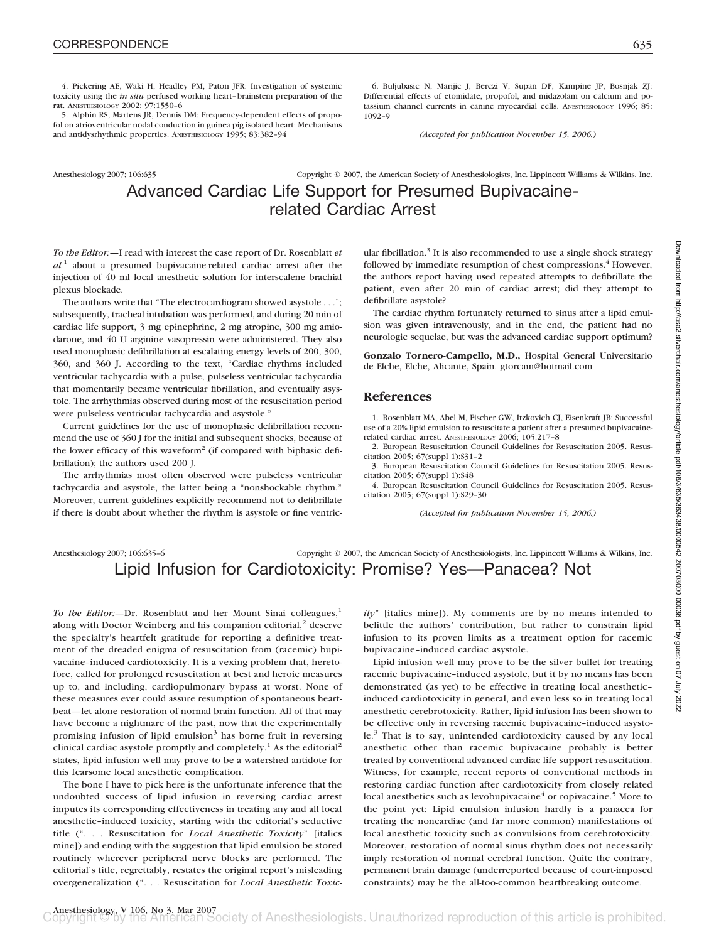4. Pickering AE, Waki H, Headley PM, Paton JFR: Investigation of systemic toxicity using the *in situ* perfused working heart– brainstem preparation of the rat. ANESTHESIOLOGY 2002; 97:1550–6

5. Alphin RS, Martens JR, Dennis DM: Frequency-dependent effects of propofol on atrioventricular nodal conduction in guinea pig isolated heart: Mechanisms and antidysrhythmic properties. ANESTHESIOLOGY 1995; 83:382–94

6. Buljubasic N, Marijic J, Berczi V, Supan DF, Kampine JP, Bosnjak ZJ: Differential effects of etomidate, propofol, and midazolam on calcium and potassium channel currents in canine myocardial cells. ANESTHESIOLOGY 1996; 85: 1092–9

*(Accepted for publication November 15, 2006.)*

# Anesthesiology 2007; 106:635 Copyright © 2007, the American Society of Anesthesiologists, Inc. Lippincott Williams & Wilkins, Inc. Advanced Cardiac Life Support for Presumed Bupivacainerelated Cardiac Arrest

*To the Editor:—*I read with interest the case report of Dr. Rosenblatt *et al.*<sup>1</sup> about a presumed bupivacaine-related cardiac arrest after the injection of 40 ml local anesthetic solution for interscalene brachial plexus blockade.

The authors write that "The electrocardiogram showed asystole . . ."; subsequently, tracheal intubation was performed, and during 20 min of cardiac life support, 3 mg epinephrine, 2 mg atropine, 300 mg amiodarone, and 40 U arginine vasopressin were administered. They also used monophasic defibrillation at escalating energy levels of 200, 300, 360, and 360 J. According to the text, "Cardiac rhythms included ventricular tachycardia with a pulse, pulseless ventricular tachycardia that momentarily became ventricular fibrillation, and eventually asystole. The arrhythmias observed during most of the resuscitation period were pulseless ventricular tachycardia and asystole."

Current guidelines for the use of monophasic defibrillation recommend the use of 360 J for the initial and subsequent shocks, because of the lower efficacy of this waveform<sup>2</sup> (if compared with biphasic defibrillation); the authors used 200 J.

The arrhythmias most often observed were pulseless ventricular tachycardia and asystole, the latter being a "nonshockable rhythm." Moreover, current guidelines explicitly recommend not to defibrillate if there is doubt about whether the rhythm is asystole or fine ventricular fibrillation.<sup>3</sup> It is also recommended to use a single shock strategy followed by immediate resumption of chest compressions.<sup>4</sup> However, the authors report having used repeated attempts to defibrillate the patient, even after 20 min of cardiac arrest; did they attempt to defibrillate asystole?

The cardiac rhythm fortunately returned to sinus after a lipid emulsion was given intravenously, and in the end, the patient had no neurologic sequelae, but was the advanced cardiac support optimum?

**Gonzalo Tornero-Campello, M.D.,** Hospital General Universitario de Elche, Elche, Alicante, Spain. gtorcam@hotmail.com

## **References**

1. Rosenblatt MA, Abel M, Fischer GW, Itzkovich CJ, Eisenkraft JB: Successful use of a 20% lipid emulsion to resuscitate a patient after a presumed bupivacainerelated cardiac arrest. ANESTHESIOLOGY 2006; 105:217–8

2. European Resuscitation Council Guidelines for Resuscitation 2005. Resuscitation 2005; 67(suppl 1):S31–2

3. European Resuscitation Council Guidelines for Resuscitation 2005. Resuscitation 2005; 67(suppl 1):S48

4. European Resuscitation Council Guidelines for Resuscitation 2005. Resuscitation 2005; 67(suppl 1):S29–30

*(Accepted for publication November 15, 2006.)*

# Anesthesiology 2007; 106:635–6 Copyright © 2007, the American Society of Anesthesiologists, Inc. Lippincott Williams & Wilkins, Inc. Lipid Infusion for Cardiotoxicity: Promise? Yes—Panacea? Not

*To the Editor:*—Dr. Rosenblatt and her Mount Sinai colleagues,<sup>1</sup> along with Doctor Weinberg and his companion editorial, $2$  deserve the specialty's heartfelt gratitude for reporting a definitive treatment of the dreaded enigma of resuscitation from (racemic) bupivacaine–induced cardiotoxicity. It is a vexing problem that, heretofore, called for prolonged resuscitation at best and heroic measures up to, and including, cardiopulmonary bypass at worst. None of these measures ever could assure resumption of spontaneous heartbeat—let alone restoration of normal brain function. All of that may have become a nightmare of the past, now that the experimentally promising infusion of lipid emulsion<sup>3</sup> has borne fruit in reversing clinical cardiac asystole promptly and completely.<sup>1</sup> As the editorial<sup>2</sup> states, lipid infusion well may prove to be a watershed antidote for this fearsome local anesthetic complication.

The bone I have to pick here is the unfortunate inference that the undoubted success of lipid infusion in reversing cardiac arrest imputes its corresponding effectiveness in treating any and all local anesthetic–induced toxicity, starting with the editorial's seductive title (". . . Resuscitation for *Local Anesthetic Toxicity*" [italics mine]) and ending with the suggestion that lipid emulsion be stored routinely wherever peripheral nerve blocks are performed. The editorial's title, regrettably, restates the original report's misleading overgeneralization (". . . Resuscitation for *Local Anesthetic Toxic-*

*ity*" [italics mine]). My comments are by no means intended to belittle the authors' contribution, but rather to constrain lipid infusion to its proven limits as a treatment option for racemic bupivacaine–induced cardiac asystole.

Lipid infusion well may prove to be the silver bullet for treating racemic bupivacaine–induced asystole, but it by no means has been demonstrated (as yet) to be effective in treating local anesthetic– induced cardiotoxicity in general, and even less so in treating local anesthetic cerebrotoxicity. Rather, lipid infusion has been shown to be effective only in reversing racemic bupivacaine–induced asystole.<sup>3</sup> That is to say, unintended cardiotoxicity caused by any local anesthetic other than racemic bupivacaine probably is better treated by conventional advanced cardiac life support resuscitation. Witness, for example, recent reports of conventional methods in restoring cardiac function after cardiotoxicity from closely related local anesthetics such as levobupivacaine<sup>4</sup> or ropivacaine.<sup>5</sup> More to the point yet: Lipid emulsion infusion hardly is a panacea for treating the noncardiac (and far more common) manifestations of local anesthetic toxicity such as convulsions from cerebrotoxicity. Moreover, restoration of normal sinus rhythm does not necessarily imply restoration of normal cerebral function. Quite the contrary, permanent brain damage (underreported because of court-imposed constraints) may be the all-too-common heartbreaking outcome.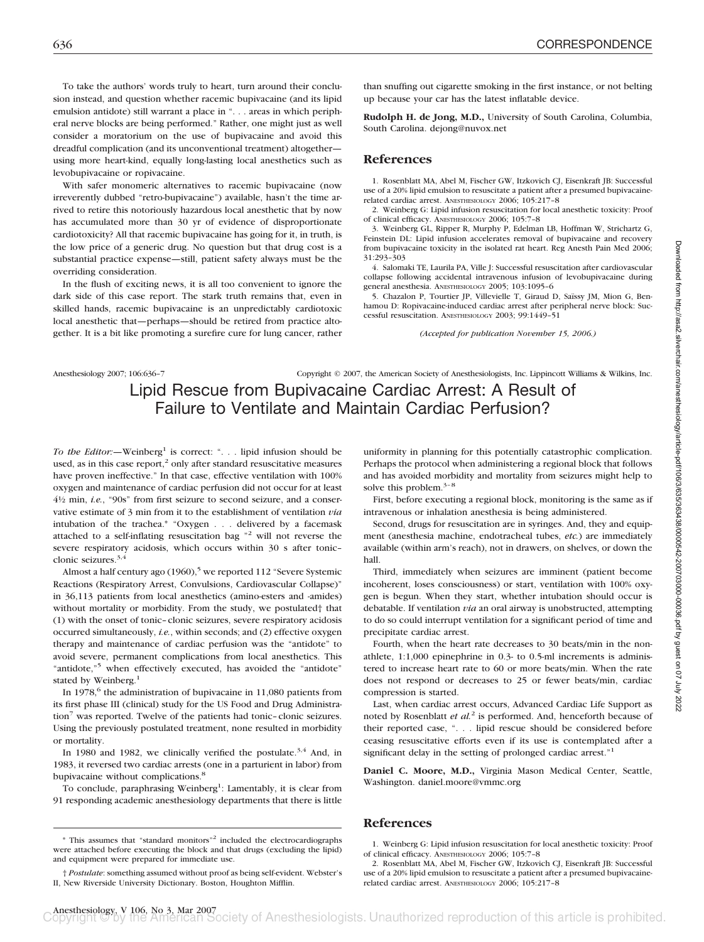To take the authors' words truly to heart, turn around their conclusion instead, and question whether racemic bupivacaine (and its lipid emulsion antidote) still warrant a place in ". . . areas in which peripheral nerve blocks are being performed." Rather, one might just as well consider a moratorium on the use of bupivacaine and avoid this dreadful complication (and its unconventional treatment) altogether using more heart-kind, equally long-lasting local anesthetics such as levobupivacaine or ropivacaine.

With safer monomeric alternatives to racemic bupivacaine (now irreverently dubbed "retro-bupivacaine") available, hasn't the time arrived to retire this notoriously hazardous local anesthetic that by now has accumulated more than 30 yr of evidence of disproportionate cardiotoxicity? All that racemic bupivacaine has going for it, in truth, is the low price of a generic drug. No question but that drug cost is a substantial practice expense—still, patient safety always must be the overriding consideration.

In the flush of exciting news, it is all too convenient to ignore the dark side of this case report. The stark truth remains that, even in skilled hands, racemic bupivacaine is an unpredictably cardiotoxic local anesthetic that—perhaps—should be retired from practice altogether. It is a bit like promoting a surefire cure for lung cancer, rather than snuffing out cigarette smoking in the first instance, or not belting up because your car has the latest inflatable device.

**Rudolph H. de Jong, M.D.,** University of South Carolina, Columbia, South Carolina. dejong@nuvox.net

#### **References**

1. Rosenblatt MA, Abel M, Fischer GW, Itzkovich CJ, Eisenkraft JB: Successful use of a 20% lipid emulsion to resuscitate a patient after a presumed bupivacainerelated cardiac arrest. ANESTHESIOLOGY 2006; 105:217–8

2. Weinberg G: Lipid infusion resuscitation for local anesthetic toxicity: Proof of clinical efficacy. ANESTHESIOLOGY 2006; 105:7–8

3. Weinberg GL, Ripper R, Murphy P, Edelman LB, Hoffman W, Strichartz G, Feinstein DL: Lipid infusion accelerates removal of bupivacaine and recovery from bupivacaine toxicity in the isolated rat heart. Reg Anesth Pain Med 2006; 31:293–303

4. Salomaki TE, Laurila PA, Ville J: Successful resuscitation after cardiovascular collapse following accidental intravenous infusion of levobupivacaine during general anesthesia. ANESTHESIOLOGY 2005; 103:1095–6

5. Chazalon P, Tourtier JP, Villevielle T, Giraud D, Saïssy JM, Mion G, Benhamou D: Ropivacaine-induced cardiac arrest after peripheral nerve block: Successful resuscitation. ANESTHESIOLOGY 2003; 99:1449–51

*(Accepted for publication November 15, 2006.)*

Anesthesiology 2007; 106:636–7 Copyright © 2007, the American Society of Anesthesiologists, Inc. Lippincott Williams & Wilkins, Inc.

# Lipid Rescue from Bupivacaine Cardiac Arrest: A Result of Failure to Ventilate and Maintain Cardiac Perfusion?

*To the Editor:*—Weinberg<sup>1</sup> is correct: ". . . lipid infusion should be used, as in this case  $report<sub>i</sub><sup>2</sup>$  only after standard resuscitative measures have proven ineffective." In that case, effective ventilation with 100% oxygen and maintenance of cardiac perfusion did not occur for at least 4½ min, *i.e.*, "90s" from first seizure to second seizure, and a conservative estimate of 3 min from it to the establishment of ventilation *via* intubation of the trachea.\* "Oxygen... delivered by a facemask attached to a self-inflating resuscitation bag "2 will not reverse the severe respiratory acidosis, which occurs within 30 s after tonic– clonic seizures.<sup>3,4</sup>

Almost a half century ago  $(1960)$ ,<sup>5</sup> we reported 112 "Severe Systemic Reactions (Respiratory Arrest, Convulsions, Cardiovascular Collapse)" in 36,113 patients from local anesthetics (amino-esters and -amides) without mortality or morbidity. From the study, we postulated† that (1) with the onset of tonic–clonic seizures, severe respiratory acidosis occurred simultaneously, *i.e.*, within seconds; and (2) effective oxygen therapy and maintenance of cardiac perfusion was the "antidote" to avoid severe, permanent complications from local anesthetics. This "antidote,"<sup>5</sup> when effectively executed, has avoided the "antidote" stated by Weinberg.<sup>1</sup>

In  $1978$ , the administration of bupivacaine in  $11,080$  patients from its first phase III (clinical) study for the US Food and Drug Administration<sup>7</sup> was reported. Twelve of the patients had tonic-clonic seizures. Using the previously postulated treatment, none resulted in morbidity or mortality.

In 1980 and 1982, we clinically verified the postulate.<sup>3,4</sup> And, in 1983, it reversed two cardiac arrests (one in a parturient in labor) from bupivacaine without complications.<sup>8</sup>

To conclude, paraphrasing Weinberg<sup>1</sup>: Lamentably, it is clear from 91 responding academic anesthesiology departments that there is little

uniformity in planning for this potentially catastrophic complication. Perhaps the protocol when administering a regional block that follows and has avoided morbidity and mortality from seizures might help to solve this problem.<sup>3-8</sup>

First, before executing a regional block, monitoring is the same as if intravenous or inhalation anesthesia is being administered.

Second, drugs for resuscitation are in syringes. And, they and equipment (anesthesia machine, endotracheal tubes, *etc.*) are immediately available (within arm's reach), not in drawers, on shelves, or down the hall.

Third, immediately when seizures are imminent (patient become incoherent, loses consciousness) or start, ventilation with 100% oxygen is begun. When they start, whether intubation should occur is debatable. If ventilation *via* an oral airway is unobstructed, attempting to do so could interrupt ventilation for a significant period of time and precipitate cardiac arrest.

Fourth, when the heart rate decreases to 30 beats/min in the nonathlete, 1:1,000 epinephrine in 0.3- to 0.5-ml increments is administered to increase heart rate to 60 or more beats/min. When the rate does not respond or decreases to 25 or fewer beats/min, cardiac compression is started.

Last, when cardiac arrest occurs, Advanced Cardiac Life Support as noted by Rosenblatt *et al.*<sup>2</sup> is performed. And, henceforth because of their reported case, ". . . lipid rescue should be considered before ceasing resuscitative efforts even if its use is contemplated after a significant delay in the setting of prolonged cardiac arrest."<sup>1</sup>

**Daniel C. Moore, M.D.,** Virginia Mason Medical Center, Seattle, Washington. daniel.moore@vmmc.org

# **References**

<sup>\*</sup> This assumes that "standard monitors"<sup>2</sup> included the electrocardiographs were attached before executing the block and that drugs (excluding the lipid) and equipment were prepared for immediate use.

<sup>†</sup> *Postulate*: something assumed without proof as being self-evident. Webster's II, New Riverside University Dictionary. Boston, Houghton Mifflin.

<sup>1.</sup> Weinberg G: Lipid infusion resuscitation for local anesthetic toxicity: Proof of clinical efficacy. ANESTHESIOLOGY 2006; 105:7–8

<sup>2.</sup> Rosenblatt MA, Abel M, Fischer GW, Itzkovich CJ, Eisenkraft JB: Successful use of a 20% lipid emulsion to resuscitate a patient after a presumed bupivacainerelated cardiac arrest. ANESTHESIOLOGY 2006; 105:217–8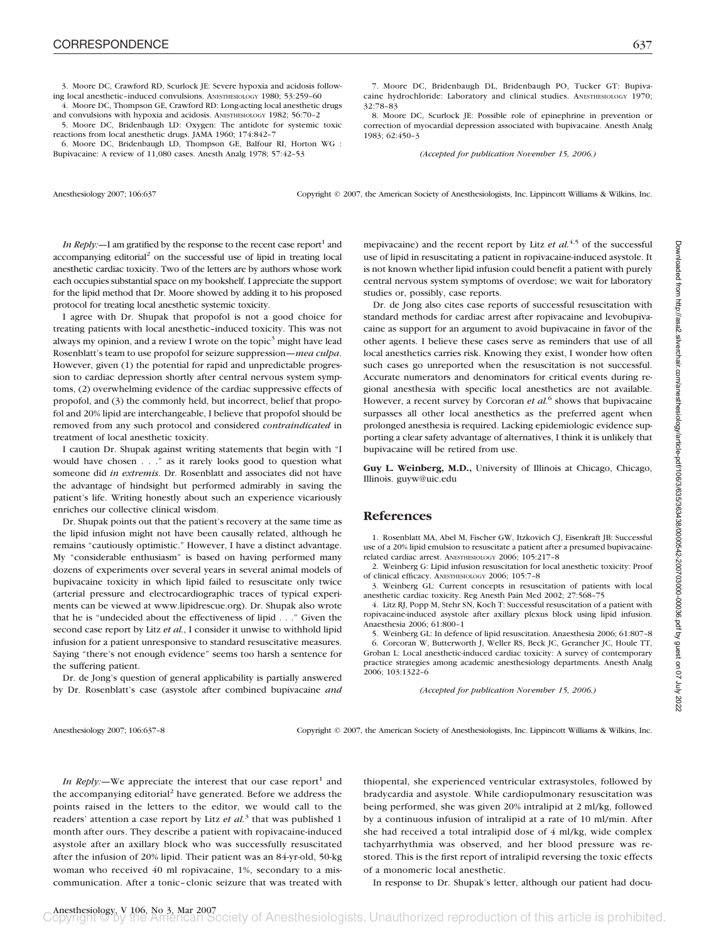3. Moore DC, Crawford RD, Scurlock JE: Severe hypoxia and acidosis following local anesthetic–induced convulsions. ANESTHESIOLOGY 1980; 53:259–60

4. Moore DC, Thompson GE, Crawford RD: Long-acting local anesthetic drugs and convulsions with hypoxia and acidosis. ANESTHESIOLOGY 1982; 56:70–2

5. Moore DC, Bridenbaugh LD: Oxygen: The antidote for systemic toxic reactions from local anesthetic drugs. JAMA 1960; 174:842–7

6. Moore DC, Bridenbaugh LD, Thompson GE, Balfour RI, Horton WG : Bupivacaine: A review of 11,080 cases. Anesth Analg 1978; 57:42–53

8. Moore DC, Scurlock JE: Possible role of epinephrine in prevention or correction of myocardial depression associated with bupivacaine. Anesth Analg 1983; 62:450–3

*(Accepted for publication November 15, 2006.)*

Anesthesiology 2007; 106:637 Copyright © 2007, the American Society of Anesthesiologists, Inc. Lippincott Williams & Wilkins, Inc.

*In Reply:*—I am gratified by the response to the recent case report<sup>1</sup> and accompanying editorial<sup>2</sup> on the successful use of lipid in treating local anesthetic cardiac toxicity. Two of the letters are by authors whose work each occupies substantial space on my bookshelf. I appreciate the support for the lipid method that Dr. Moore showed by adding it to his proposed protocol for treating local anesthetic systemic toxicity.

I agree with Dr. Shupak that propofol is not a good choice for treating patients with local anesthetic–induced toxicity. This was not always my opinion, and a review I wrote on the topic<sup>3</sup> might have lead Rosenblatt's team to use propofol for seizure suppression—*mea culpa*. However, given (1) the potential for rapid and unpredictable progression to cardiac depression shortly after central nervous system symptoms, (2) overwhelming evidence of the cardiac suppressive effects of propofol, and (3) the commonly held, but incorrect, belief that propofol and 20% lipid are interchangeable, I believe that propofol should be removed from any such protocol and considered *contraindicated* in treatment of local anesthetic toxicity.

I caution Dr. Shupak against writing statements that begin with "I would have chosen . . ." as it rarely looks good to question what someone did *in extremis*. Dr. Rosenblatt and associates did not have the advantage of hindsight but performed admirably in saving the patient's life. Writing honestly about such an experience vicariously enriches our collective clinical wisdom.

Dr. Shupak points out that the patient's recovery at the same time as the lipid infusion might not have been causally related, although he remains "cautiously optimistic." However, I have a distinct advantage. My "considerable enthusiasm" is based on having performed many dozens of experiments over several years in several animal models of bupivacaine toxicity in which lipid failed to resuscitate only twice (arterial pressure and electrocardiographic traces of typical experiments can be viewed at www.lipidrescue.org). Dr. Shupak also wrote that he is "undecided about the effectiveness of lipid . . ." Given the second case report by Litz *et al.*, I consider it unwise to withhold lipid infusion for a patient unresponsive to standard resuscitative measures. Saying "there's not enough evidence" seems too harsh a sentence for the suffering patient.

Dr. de Jong's question of general applicability is partially answered by Dr. Rosenblatt's case (asystole after combined bupivacaine *and* mepivacaine) and the recent report by Litz *et al.*<sup>4,5</sup> of the successful use of lipid in resuscitating a patient in ropivacaine-induced asystole. It is not known whether lipid infusion could benefit a patient with purely central nervous system symptoms of overdose; we wait for laboratory studies or, possibly, case reports.

Dr. de Jong also cites case reports of successful resuscitation with standard methods for cardiac arrest after ropivacaine and levobupivacaine as support for an argument to avoid bupivacaine in favor of the other agents. I believe these cases serve as reminders that use of all local anesthetics carries risk. Knowing they exist, I wonder how often such cases go unreported when the resuscitation is not successful. Accurate numerators and denominators for critical events during regional anesthesia with specific local anesthetics are not available. However, a recent survey by Corcoran *et al.*<sup>6</sup> shows that bupivacaine surpasses all other local anesthetics as the preferred agent when prolonged anesthesia is required. Lacking epidemiologic evidence supporting a clear safety advantage of alternatives, I think it is unlikely that bupivacaine will be retired from use.

**Guy L. Weinberg, M.D.,** University of Illinois at Chicago, Chicago, Illinois. guyw@uic.edu

## **References**

1. Rosenblatt MA, Abel M, Fischer GW, Itzkovich CJ, Eisenkraft JB: Successful use of a 20% lipid emulsion to resuscitate a patient after a presumed bupivacainerelated cardiac arrest. ANESTHESIOLOGY 2006; 105:217–8

2. Weinberg G: Lipid infusion resuscitation for local anesthetic toxicity: Proof of clinical efficacy. ANESTHESIOLOGY 2006; 105:7–8

3. Weinberg GL: Current concepts in resuscitation of patients with local anesthetic cardiac toxicity. Reg Anesth Pain Med 2002; 27:568–75

4. Litz RJ, Popp M, Stehr SN, Koch T: Successful resuscitation of a patient with ropivacaine-induced asystole after axillary plexus block using lipid infusion. Anaesthesia 2006; 61:800–1

5. Weinberg GL: In defence of lipid resuscitation. Anaesthesia 2006; 61:807–8 6. Corcoran W, Butterworth J, Weller RS, Beck JC, Gerancher JC, Houle TT, Groban L: Local anesthetic-induced cardiac toxicity: A survey of contemporary practice strategies among academic anesthesiology departments. Anesth Analg 2006; 103:1322–6

*(Accepted for publication November 15, 2006.)*

Anesthesiology 2007; 106:637–8 Copyright © 2007, the American Society of Anesthesiologists, Inc. Lippincott Williams & Wilkins, Inc.

*In Reply:*—We appreciate the interest that our case report<sup>1</sup> and the accompanying editorial<sup>2</sup> have generated. Before we address the points raised in the letters to the editor, we would call to the readers' attention a case report by Litz *et al.*<sup>3</sup> that was published 1 month after ours. They describe a patient with ropivacaine-induced asystole after an axillary block who was successfully resuscitated after the infusion of 20% lipid. Their patient was an 84-yr-old, 50-kg woman who received 40 ml ropivacaine, 1%, secondary to a miscommunication. After a tonic–clonic seizure that was treated with

thiopental, she experienced ventricular extrasystoles, followed by bradycardia and asystole. While cardiopulmonary resuscitation was being performed, she was given 20% intralipid at 2 ml/kg, followed by a continuous infusion of intralipid at a rate of 10 ml/min. After she had received a total intralipid dose of 4 ml/kg, wide complex tachyarrhythmia was observed, and her blood pressure was restored. This is the first report of intralipid reversing the toxic effects of a monomeric local anesthetic.

In response to Dr. Shupak's letter, although our patient had docu-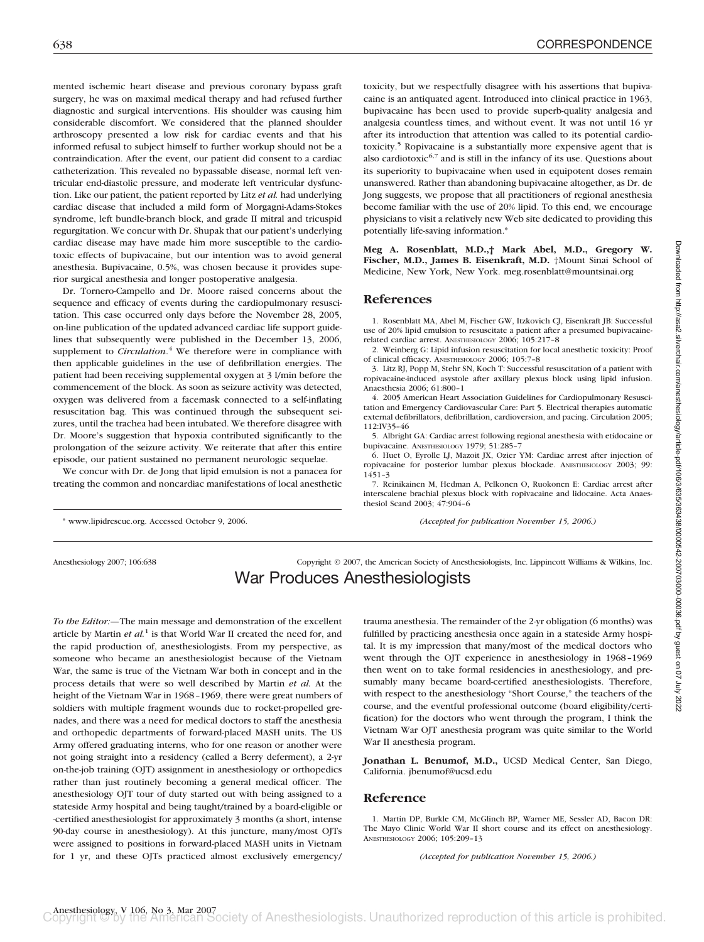mented ischemic heart disease and previous coronary bypass graft surgery, he was on maximal medical therapy and had refused further diagnostic and surgical interventions. His shoulder was causing him considerable discomfort. We considered that the planned shoulder arthroscopy presented a low risk for cardiac events and that his informed refusal to subject himself to further workup should not be a contraindication. After the event, our patient did consent to a cardiac catheterization. This revealed no bypassable disease, normal left ventricular end-diastolic pressure, and moderate left ventricular dysfunction. Like our patient, the patient reported by Litz *et al.* had underlying cardiac disease that included a mild form of Morgagni-Adams-Stokes syndrome, left bundle-branch block, and grade II mitral and tricuspid regurgitation. We concur with Dr. Shupak that our patient's underlying cardiac disease may have made him more susceptible to the cardiotoxic effects of bupivacaine, but our intention was to avoid general anesthesia. Bupivacaine, 0.5%, was chosen because it provides superior surgical anesthesia and longer postoperative analgesia.

Dr. Tornero-Campello and Dr. Moore raised concerns about the sequence and efficacy of events during the cardiopulmonary resuscitation. This case occurred only days before the November 28, 2005, on-line publication of the updated advanced cardiac life support guidelines that subsequently were published in the December 13, 2006, supplement to *Circulation*. <sup>4</sup> We therefore were in compliance with then applicable guidelines in the use of defibrillation energies. The patient had been receiving supplemental oxygen at 3 l/min before the commencement of the block. As soon as seizure activity was detected, oxygen was delivered from a facemask connected to a self-inflating resuscitation bag. This was continued through the subsequent seizures, until the trachea had been intubated. We therefore disagree with Dr. Moore's suggestion that hypoxia contributed significantly to the prolongation of the seizure activity. We reiterate that after this entire episode, our patient sustained no permanent neurologic sequelae.

We concur with Dr. de Jong that lipid emulsion is not a panacea for treating the common and noncardiac manifestations of local anesthetic

\* www.lipidrescue.org. Accessed October 9, 2006.

toxicity, but we respectfully disagree with his assertions that bupivacaine is an antiquated agent. Introduced into clinical practice in 1963, bupivacaine has been used to provide superb-quality analgesia and analgesia countless times, and without event. It was not until 16 yr after its introduction that attention was called to its potential cardiotoxicity.<sup>5</sup> Ropivacaine is a substantially more expensive agent that is also cardiotoxic $6.7$  and is still in the infancy of its use. Questions about its superiority to bupivacaine when used in equipotent doses remain unanswered. Rather than abandoning bupivacaine altogether, as Dr. de Jong suggests, we propose that all practitioners of regional anesthesia become familiar with the use of 20% lipid. To this end, we encourage physicians to visit a relatively new Web site dedicated to providing this potentially life-saving information.\*

**Meg A. Rosenblatt, M.D.,† Mark Abel, M.D., Gregory W. Fischer, M.D., James B. Eisenkraft, M.D.** †Mount Sinai School of Medicine, New York, New York. meg.rosenblatt@mountsinai.org

## **References**

1. Rosenblatt MA, Abel M, Fischer GW, Itzkovich CJ, Eisenkraft JB: Successful use of 20% lipid emulsion to resuscitate a patient after a presumed bupivacainerelated cardiac arrest. ANESTHESIOLOGY 2006; 105:217–8

2. Weinberg G: Lipid infusion resuscitation for local anesthetic toxicity: Proof of clinical efficacy. ANESTHESIOLOGY 2006; 105:7–8

3. Litz RJ, Popp M, Stehr SN, Koch T: Successful resuscitation of a patient with ropivacaine-induced asystole after axillary plexus block using lipid infusion. Anaesthesia 2006; 61:800–1

4. 2005 American Heart Association Guidelines for Cardiopulmonary Resuscitation and Emergency Cardiovascular Care: Part 5. Electrical therapies automatic external defibrillators, defibrillation, cardioversion, and pacing. Circulation 2005; 112:IV35–46

5. Albright GA: Cardiac arrest following regional anesthesia with etidocaine or bupivacaine. ANESTHESIOLOGY 1979; 51:285-

6. Huet O, Eyrolle LJ, Mazoit JX, Ozier YM: Cardiac arrest after injection of ropivacaine for posterior lumbar plexus blockade. ANESTHESIOLOGY 2003; 99: 1451–3

7. Reinikainen M, Hedman A, Pelkonen O, Ruokonen E: Cardiac arrest after interscalene brachial plexus block with ropivacaine and lidocaine. Acta Anaesthesiol Scand 2003; 47:904–6

*(Accepted for publication November 15, 2006.)*

Anesthesiology 2007; 106:638 Copyright © 2007, the American Society of Anesthesiologists, Inc. Lippincott Williams & Wilkins, Inc. War Produces Anesthesiologists

*To the Editor:—*The main message and demonstration of the excellent article by Martin *et al.*<sup>1</sup> is that World War II created the need for, and the rapid production of, anesthesiologists. From my perspective, as someone who became an anesthesiologist because of the Vietnam War, the same is true of the Vietnam War both in concept and in the process details that were so well described by Martin *et al.* At the height of the Vietnam War in 1968 –1969, there were great numbers of soldiers with multiple fragment wounds due to rocket-propelled grenades, and there was a need for medical doctors to staff the anesthesia and orthopedic departments of forward-placed MASH units. The US Army offered graduating interns, who for one reason or another were not going straight into a residency (called a Berry deferment), a 2-yr on-the-job training (OJT) assignment in anesthesiology or orthopedics rather than just routinely becoming a general medical officer. The anesthesiology OJT tour of duty started out with being assigned to a stateside Army hospital and being taught/trained by a board-eligible or -certified anesthesiologist for approximately 3 months (a short, intense 90-day course in anesthesiology). At this juncture, many/most OJTs were assigned to positions in forward-placed MASH units in Vietnam for 1 yr, and these OJTs practiced almost exclusively emergency/

trauma anesthesia. The remainder of the 2-yr obligation (6 months) was fulfilled by practicing anesthesia once again in a stateside Army hospital. It is my impression that many/most of the medical doctors who went through the OJT experience in anesthesiology in 1968 –1969 then went on to take formal residencies in anesthesiology, and presumably many became board-certified anesthesiologists. Therefore, with respect to the anesthesiology "Short Course," the teachers of the course, and the eventful professional outcome (board eligibility/certification) for the doctors who went through the program, I think the Vietnam War OJT anesthesia program was quite similar to the World War II anesthesia program.

**Jonathan L. Benumof, M.D.,** UCSD Medical Center, San Diego, California. jbenumof@ucsd.edu

## **Reference**

1. Martin DP, Burkle CM, McGlinch BP, Warner ME, Sessler AD, Bacon DR: The Mayo Clinic World War II short course and its effect on anesthesiology. ANESTHESIOLOGY 2006; 105:209–13

*(Accepted for publication November 15, 2006.)*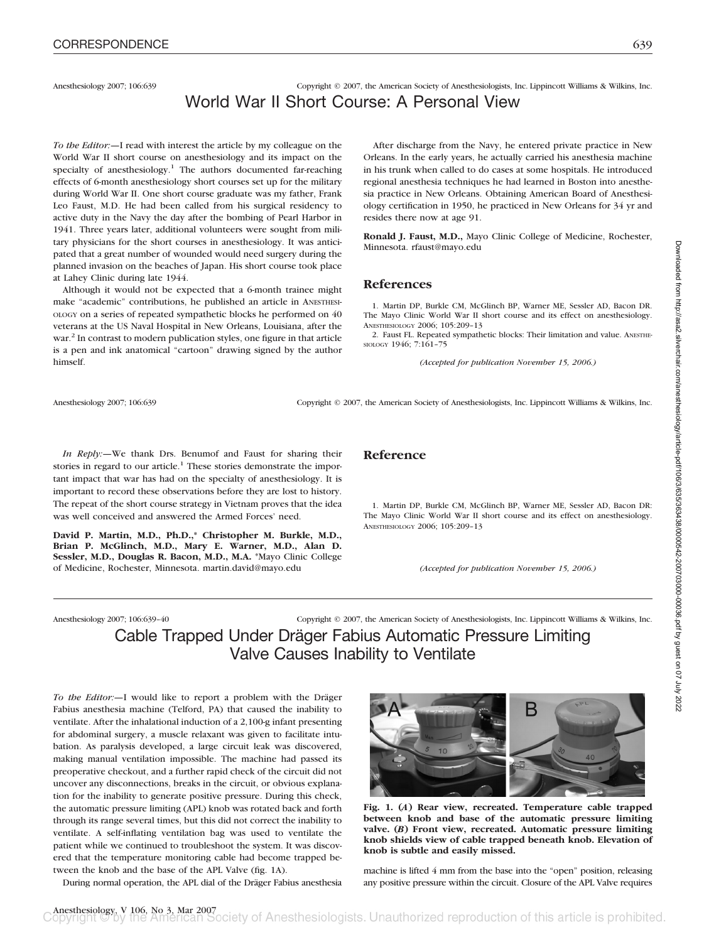Anesthesiology 2007; 106:639 Copyright © 2007, the American Society of Anesthesiologists, Inc. Lippincott Williams & Wilkins, Inc. World War II Short Course: A Personal View

*To the Editor:—*I read with interest the article by my colleague on the World War II short course on anesthesiology and its impact on the specialty of anesthesiology.<sup>1</sup> The authors documented far-reaching effects of 6-month anesthesiology short courses set up for the military during World War II. One short course graduate was my father, Frank Leo Faust, M.D. He had been called from his surgical residency to active duty in the Navy the day after the bombing of Pearl Harbor in 1941. Three years later, additional volunteers were sought from military physicians for the short courses in anesthesiology. It was anticipated that a great number of wounded would need surgery during the planned invasion on the beaches of Japan. His short course took place at Lahey Clinic during late 1944.

Although it would not be expected that a 6-month trainee might make "academic" contributions, he published an article in ANESTHESI-OLOGY on a series of repeated sympathetic blocks he performed on 40 veterans at the US Naval Hospital in New Orleans, Louisiana, after the war.<sup>2</sup> In contrast to modern publication styles, one figure in that article is a pen and ink anatomical "cartoon" drawing signed by the author himself.

After discharge from the Navy, he entered private practice in New Orleans. In the early years, he actually carried his anesthesia machine in his trunk when called to do cases at some hospitals. He introduced regional anesthesia techniques he had learned in Boston into anesthesia practice in New Orleans. Obtaining American Board of Anesthesiology certification in 1950, he practiced in New Orleans for 34 yr and resides there now at age 91.

**Ronald J. Faust, M.D.,** Mayo Clinic College of Medicine, Rochester, Minnesota. rfaust@mayo.edu

## **References**

1. Martin DP, Burkle CM, McGlinch BP, Warner ME, Sessler AD, Bacon DR. The Mayo Clinic World War II short course and its effect on anesthesiology. ANESTHESIOLOGY 2006; 105:209–13

2. Faust FL. Repeated sympathetic blocks: Their limitation and value. ANESTHE-SIOLOGY 1946; 7:161–75

*(Accepted for publication November 15, 2006.)*

Anesthesiology 2007; 106:639 Copyright © 2007, the American Society of Anesthesiologists, Inc. Lippincott Williams & Wilkins, Inc.

*In Reply:—*We thank Drs. Benumof and Faust for sharing their stories in regard to our article.<sup>1</sup> These stories demonstrate the important impact that war has had on the specialty of anesthesiology. It is important to record these observations before they are lost to history. The repeat of the short course strategy in Vietnam proves that the idea was well conceived and answered the Armed Forces' need.

**David P. Martin, M.D., Ph.D.,\* Christopher M. Burkle, M.D., Brian P. McGlinch, M.D., Mary E. Warner, M.D., Alan D. Sessler, M.D., Douglas R. Bacon, M.D., M.A.** \*Mayo Clinic College of Medicine, Rochester, Minnesota. martin.david@mayo.edu

# **Reference**

1. Martin DP, Burkle CM, McGlinch BP, Warner ME, Sessler AD, Bacon DR: The Mayo Clinic World War II short course and its effect on anesthesiology. ANESTHESIOLOGY 2006; 105:209–13

*(Accepted for publication November 15, 2006.)*

Anesthesiology 2007; 106:639–40 Copyright © 2007, the American Society of Anesthesiologists, Inc. Lippincott Williams & Wilkins, Inc. Cable Trapped Under Dräger Fabius Automatic Pressure Limiting Valve Causes Inability to Ventilate

*To the Editor:*—I would like to report a problem with the Dräger Fabius anesthesia machine (Telford, PA) that caused the inability to ventilate. After the inhalational induction of a 2,100-g infant presenting for abdominal surgery, a muscle relaxant was given to facilitate intubation. As paralysis developed, a large circuit leak was discovered, making manual ventilation impossible. The machine had passed its preoperative checkout, and a further rapid check of the circuit did not uncover any disconnections, breaks in the circuit, or obvious explanation for the inability to generate positive pressure. During this check, the automatic pressure limiting (APL) knob was rotated back and forth through its range several times, but this did not correct the inability to ventilate. A self-inflating ventilation bag was used to ventilate the patient while we continued to troubleshoot the system. It was discovered that the temperature monitoring cable had become trapped between the knob and the base of the APL Valve (fig. 1A).

During normal operation, the APL dial of the Dräger Fabius anesthesia



**Fig. 1. (***A***) Rear view, recreated. Temperature cable trapped between knob and base of the automatic pressure limiting valve. (***B***) Front view, recreated. Automatic pressure limiting knob shields view of cable trapped beneath knob. Elevation of knob is subtle and easily missed.**

machine is lifted 4 mm from the base into the "open" position, releasing any positive pressure within the circuit. Closure of the APL Valve requires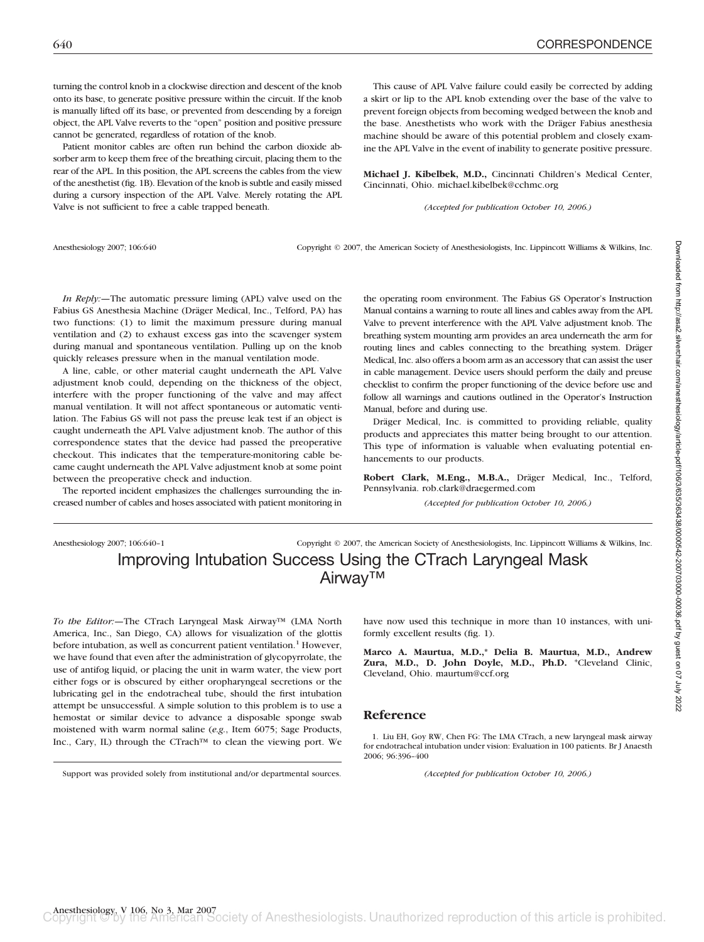turning the control knob in a clockwise direction and descent of the knob onto its base, to generate positive pressure within the circuit. If the knob is manually lifted off its base, or prevented from descending by a foreign object, the APL Valve reverts to the "open" position and positive pressure cannot be generated, regardless of rotation of the knob.

Patient monitor cables are often run behind the carbon dioxide absorber arm to keep them free of the breathing circuit, placing them to the rear of the APL. In this position, the APL screens the cables from the view of the anesthetist (fig. 1B). Elevation of the knob is subtle and easily missed during a cursory inspection of the APL Valve. Merely rotating the APL Valve is not sufficient to free a cable trapped beneath.

This cause of APL Valve failure could easily be corrected by adding a skirt or lip to the APL knob extending over the base of the valve to prevent foreign objects from becoming wedged between the knob and the base. Anesthetists who work with the Dräger Fabius anesthesia machine should be aware of this potential problem and closely examine the APL Valve in the event of inability to generate positive pressure.

**Michael J. Kibelbek, M.D.,** Cincinnati Children's Medical Center, Cincinnati, Ohio. michael.kibelbek@cchmc.org

*(Accepted for publication October 10, 2006.)*

Anesthesiology 2007; 106:640 Copyright © 2007, the American Society of Anesthesiologists, Inc. Lippincott Williams & Wilkins, Inc.

*In Reply:—*The automatic pressure liming (APL) valve used on the Fabius GS Anesthesia Machine (Dräger Medical, Inc., Telford, PA) has two functions: (1) to limit the maximum pressure during manual ventilation and (2) to exhaust excess gas into the scavenger system during manual and spontaneous ventilation. Pulling up on the knob quickly releases pressure when in the manual ventilation mode.

A line, cable, or other material caught underneath the APL Valve adjustment knob could, depending on the thickness of the object, interfere with the proper functioning of the valve and may affect manual ventilation. It will not affect spontaneous or automatic ventilation. The Fabius GS will not pass the preuse leak test if an object is caught underneath the APL Valve adjustment knob. The author of this correspondence states that the device had passed the preoperative checkout. This indicates that the temperature-monitoring cable became caught underneath the APL Valve adjustment knob at some point between the preoperative check and induction.

The reported incident emphasizes the challenges surrounding the increased number of cables and hoses associated with patient monitoring in the operating room environment. The Fabius GS Operator's Instruction Manual contains a warning to route all lines and cables away from the APL Valve to prevent interference with the APL Valve adjustment knob. The breathing system mounting arm provides an area underneath the arm for routing lines and cables connecting to the breathing system. Dräger Medical, Inc. also offers a boom arm as an accessory that can assist the user in cable management. Device users should perform the daily and preuse checklist to confirm the proper functioning of the device before use and follow all warnings and cautions outlined in the Operator's Instruction Manual, before and during use.

Dräger Medical, Inc. is committed to providing reliable, quality products and appreciates this matter being brought to our attention. This type of information is valuable when evaluating potential enhancements to our products.

Robert Clark, M.Eng., M.B.A., Dräger Medical, Inc., Telford, Pennsylvania. rob.clark@draegermed.com

*(Accepted for publication October 10, 2006.)*

# Anesthesiology 2007; 106:640–1 Copyright © 2007, the American Society of Anesthesiologists, Inc. Lippincott Williams & Wilkins, Inc. Improving Intubation Success Using the CTrach Laryngeal Mask Airway™

*To the Editor:—*The CTrach Laryngeal Mask Airway™ (LMA North America, Inc., San Diego, CA) allows for visualization of the glottis before intubation, as well as concurrent patient ventilation.<sup>1</sup> However, we have found that even after the administration of glycopyrrolate, the use of antifog liquid, or placing the unit in warm water, the view port either fogs or is obscured by either oropharyngeal secretions or the lubricating gel in the endotracheal tube, should the first intubation attempt be unsuccessful. A simple solution to this problem is to use a hemostat or similar device to advance a disposable sponge swab moistened with warm normal saline (*e.g.*, Item 6075; Sage Products, Inc., Cary, IL) through the CTrach™ to clean the viewing port. We

Support was provided solely from institutional and/or departmental sources. *(Accepted for publication October 10, 2006.)* 

have now used this technique in more than 10 instances, with uniformly excellent results (fig. 1).

**Marco A. Maurtua, M.D.,\* Delia B. Maurtua, M.D., Andrew Zura, M.D., D. John Doyle, M.D., Ph.D.** \*Cleveland Clinic, Cleveland, Ohio. maurtum@ccf.org

## **Reference**

1. Liu EH, Goy RW, Chen FG: The LMA CTrach, a new laryngeal mask airway for endotracheal intubation under vision: Evaluation in 100 patients. Br J Anaesth 2006; 96:396–400